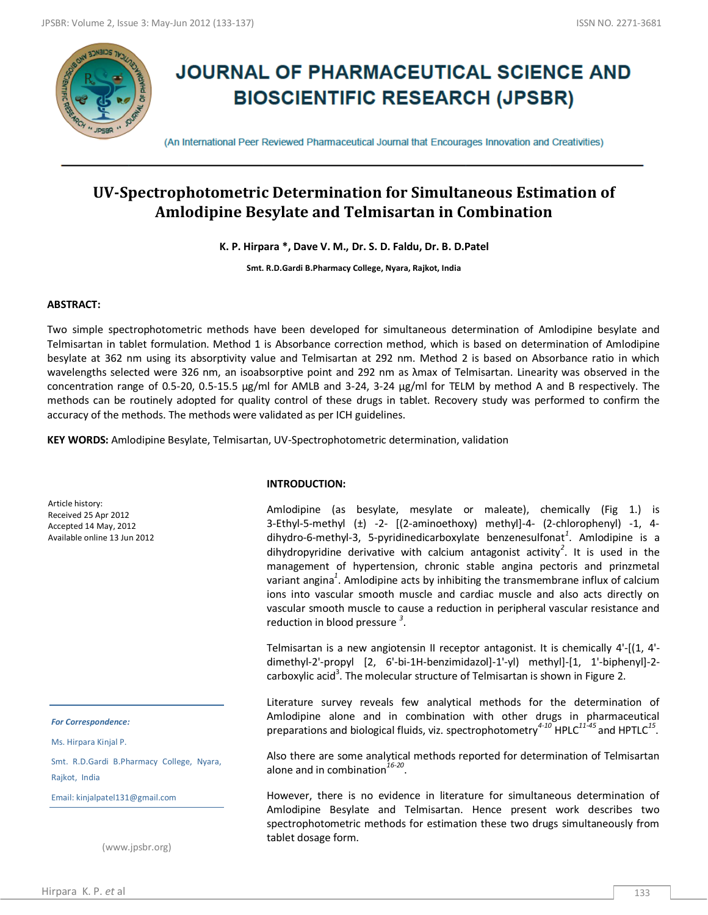

# **JOURNAL OF PHARMACEUTICAL SCIENCE AND BIOSCIENTIFIC RESEARCH (JPSBR)**

(An International Peer Reviewed Pharmaceutical Journal that Encourages Innovation and Creativities)

# **UV-Spectrophotometric Determination for Simultaneous Estimation of Amlodipine Besylate and Telmisartan in Combination**

**K. P. Hirpara \*, Dave V. M., Dr. S. D. Faldu, Dr. B. D.Patel**

**Smt. R.D.Gardi B.Pharmacy College, Nyara, Rajkot, India**

# **ABSTRACT:**

Two simple spectrophotometric methods have been developed for simultaneous determination of Amlodipine besylate and Telmisartan in tablet formulation. Method 1 is Absorbance correction method, which is based on determination of Amlodipine besylate at 362 nm using its absorptivity value and Telmisartan at 292 nm. Method 2 is based on Absorbance ratio in which wavelengths selected were 326 nm, an isoabsorptive point and 292 nm as λmax of Telmisartan. Linearity was observed in the concentration range of 0.5-20, 0.5-15.5 µg/ml for AMLB and 3-24, 3-24 µg/ml for TELM by method A and B respectively. The methods can be routinely adopted for quality control of these drugs in tablet. Recovery study was performed to confirm the accuracy of the methods. The methods were validated as per ICH guidelines.

**KEY WORDS:** Amlodipine Besylate, Telmisartan, UV-Spectrophotometric determination, validation

Article history: Received 25 Apr 2012 Accepted 14 May, 2012 Available online 13 Jun 2012

#### *For Correspondence:*

Ms. Hirpara Kinjal P.

Smt. R.D.Gardi B.Pharmacy College, Nyara, Rajkot, India

Email: kinjalpatel131@gmail.com

(www.jpsbr.org)

#### **INTRODUCTION:**

Amlodipine (as besylate, mesylate or maleate), chemically (Fig 1.) is 3-Ethyl-5-methyl (±) -2- [(2-aminoethoxy) methyl]-4- (2-chlorophenyl) -1, 4dihydro‐6‐methyl‐3, 5‐pyridinedicarboxylate benzenesulfonat*<sup>1</sup>* . Amlodipine is a dihydropyridine derivative with calcium antagonist activity*<sup>2</sup>* . It is used in the management of hypertension, chronic stable angina pectoris and prinzmetal variant angina*<sup>1</sup>* . Amlodipine acts by inhibiting the transmembrane influx of calcium ions into vascular smooth muscle and cardiac muscle and also acts directly on vascular smooth muscle to cause a reduction in peripheral vascular resistance and reduction in blood pressure *<sup>3</sup>* .

Telmisartan is a new angiotensin II receptor antagonist. It is chemically 4'-[(1, 4' dimethyl-2'-propyl [2, 6'-bi-1H-benzimidazol]-1'-yl) methyl]-[1, 1'-biphenyl]-2 carboxylic acid<sup>3</sup>. The molecular structure of Telmisartan is shown in Figure 2.

Literature survey reveals few analytical methods for the determination of Amlodipine alone and in combination with other drugs in pharmaceutical preparations and biological fluids, viz. spectrophotometry*4-10* HPLC*11-45* and HPTLC*<sup>15</sup>* .

Also there are some analytical methods reported for determination of Telmisartan alone and in combination*16-20* .

However, there is no evidence in literature for simultaneous determination of Amlodipine Besylate and Telmisartan. Hence present work describes two spectrophotometric methods for estimation these two drugs simultaneously from tablet dosage form.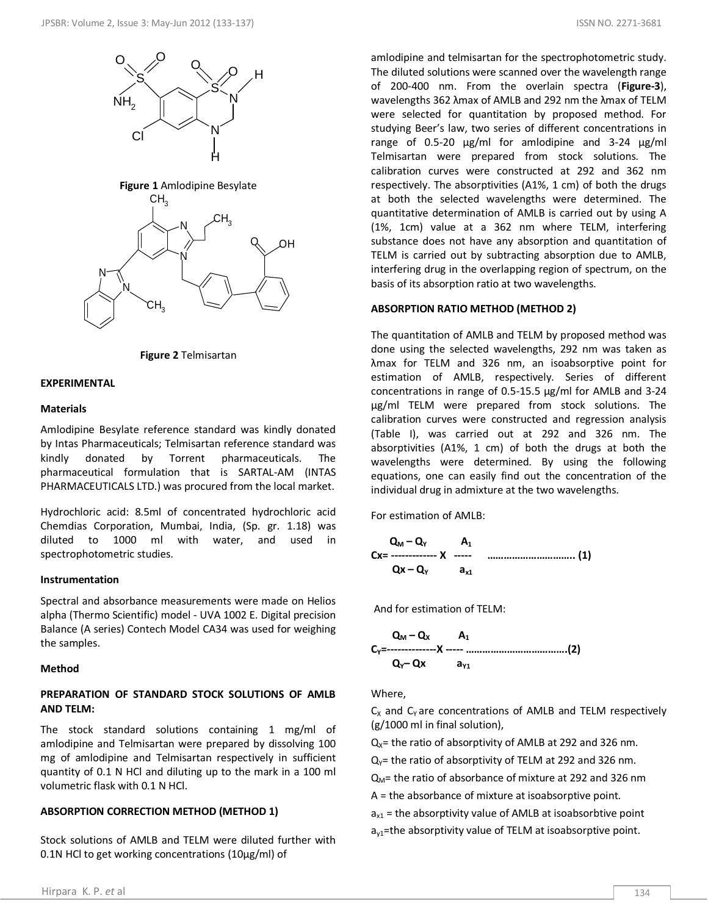



# **EXPERIMENTAL**

#### **Materials**

Amlodipine Besylate reference standard was kindly donated by Intas Pharmaceuticals; Telmisartan reference standard was kindly donated by Torrent pharmaceuticals. The pharmaceutical formulation that is SARTAL-AM (INTAS PHARMACEUTICALS LTD.) was procured from the local market.

Hydrochloric acid: 8.5ml of concentrated hydrochloric acid Chemdias Corporation, Mumbai, India, (Sp. gr. 1.18) was diluted to 1000 ml with water, and used in spectrophotometric studies.

### **Instrumentation**

Spectral and absorbance measurements were made on Helios alpha (Thermo Scientific) model - UVA 1002 E. Digital precision Balance (A series) Contech Model CA34 was used for weighing the samples.

# **Method**

# **PREPARATION OF STANDARD STOCK SOLUTIONS OF AMLB AND TELM:**

The stock standard solutions containing 1 mg/ml of amlodipine and Telmisartan were prepared by dissolving 100 mg of amlodipine and Telmisartan respectively in sufficient quantity of 0.1 N HCl and diluting up to the mark in a 100 ml volumetric flask with 0.1 N HCl.

### **ABSORPTION CORRECTION METHOD (METHOD 1)**

Stock solutions of AMLB and TELM were diluted further with 0.1N HCl to get working concentrations (10μg/ml) of

amlodipine and telmisartan for the spectrophotometric study. The diluted solutions were scanned over the wavelength range of 200-400 nm. From the overlain spectra (**Figure-3**), wavelengths 362 λmax of AMLB and 292 nm the λmax of TELM were selected for quantitation by proposed method. For studying Beer's law, two series of different concentrations in range of 0.5-20 μg/ml for amlodipine and 3-24 μg/ml Telmisartan were prepared from stock solutions. The calibration curves were constructed at 292 and 362 nm respectively. The absorptivities (A1%, 1 cm) of both the drugs at both the selected wavelengths were determined. The quantitative determination of AMLB is carried out by using A (1%, 1cm) value at a 362 nm where TELM, interfering substance does not have any absorption and quantitation of TELM is carried out by subtracting absorption due to AMLB, interfering drug in the overlapping region of spectrum, on the basis of its absorption ratio at two wavelengths.

# **ABSORPTION RATIO METHOD (METHOD 2)**

The quantitation of AMLB and TELM by proposed method was done using the selected wavelengths, 292 nm was taken as λmax for TELM and 326 nm, an isoabsorptive point for estimation of AMLB, respectively. Series of different concentrations in range of 0.5-15.5 μg/ml for AMLB and 3-24 μg/ml TELM were prepared from stock solutions. The calibration curves were constructed and regression analysis (Table I), was carried out at 292 and 326 nm. The absorptivities (A1%, 1 cm) of both the drugs at both the wavelengths were determined. By using the following equations, one can easily find out the concentration of the individual drug in admixture at the two wavelengths.

For estimation of AMLB:

 **Q<sup>M</sup> – QY A<sup>1</sup> Cx= ------------- X ----- ………………………….. (1) Qx – QY ax1**

And for estimation of TELM:

$$
Q_{M} - Q_{X} \qquad A_{1}
$$
  
C<sub>Y</sub>=............X ......  
C<sub>Y</sub>-Qx a<sub>Y1</sub>

Where,

 $C_X$  and  $C_Y$  are concentrations of AMLB and TELM respectively (g/1000 ml in final solution),

 $Q_x$ = the ratio of absorptivity of AMLB at 292 and 326 nm.

 $Q<sub>Y</sub>$  = the ratio of absorptivity of TELM at 292 and 326 nm.

 $Q_M$ = the ratio of absorbance of mixture at 292 and 326 nm

A = the absorbance of mixture at isoabsorptive point.

 $a_{x1}$  = the absorptivity value of AMLB at isoabsorbtive point  $a_{v1}$ =the absorptivity value of TELM at isoabsorptive point.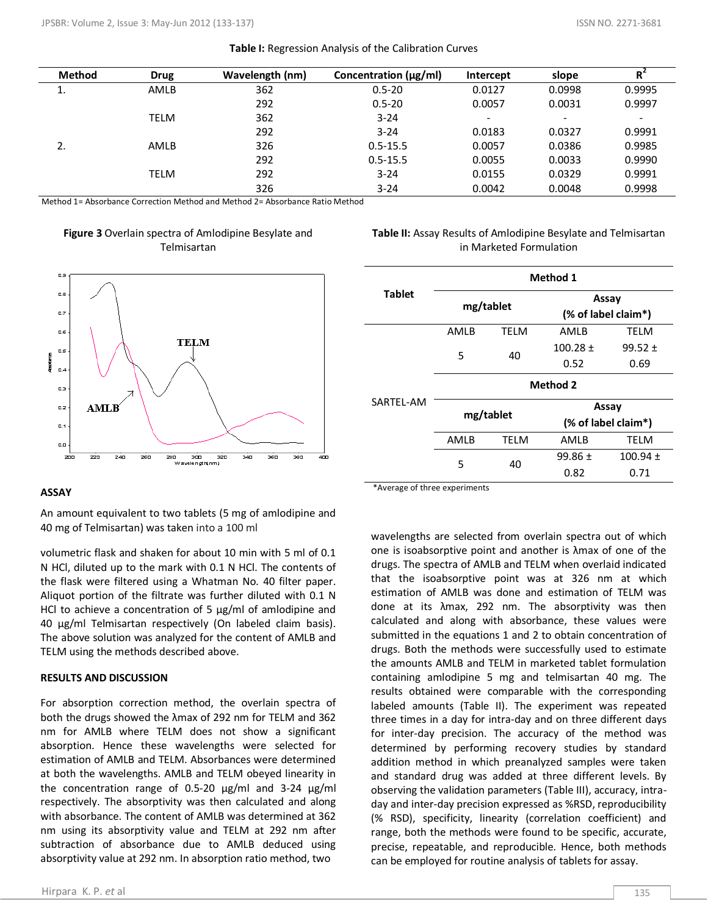|  |  | Table I: Regression Analysis of the Calibration Curves |
|--|--|--------------------------------------------------------|
|--|--|--------------------------------------------------------|

| <b>Method</b> | <b>Drug</b> | Wavelength (nm) | Concentration $(\mu g/ml)$ | Intercept | slope  | R                        |
|---------------|-------------|-----------------|----------------------------|-----------|--------|--------------------------|
| ı.            | AMLB        | 362             | $0.5 - 20$                 | 0.0127    | 0.0998 | 0.9995                   |
|               |             | 292             | $0.5 - 20$                 | 0.0057    | 0.0031 | 0.9997                   |
|               | <b>TELM</b> | 362             | $3 - 24$                   | -         | -      | $\overline{\phantom{0}}$ |
|               |             | 292             | $3 - 24$                   | 0.0183    | 0.0327 | 0.9991                   |
| 2.            | AMLB        | 326             | $0.5 - 15.5$               | 0.0057    | 0.0386 | 0.9985                   |
|               |             | 292             | $0.5 - 15.5$               | 0.0055    | 0.0033 | 0.9990                   |
|               | <b>TELM</b> | 292             | $3 - 24$                   | 0.0155    | 0.0329 | 0.9991                   |
|               |             | 326             | $3 - 24$                   | 0.0042    | 0.0048 | 0.9998                   |

Method 1= Absorbance Correction Method and Method 2= Absorbance Ratio Method

# **Figure 3** Overlain spectra of Amlodipine Besylate and Telmisartan



# **Table II:** Assay Results of Amlodipine Besylate and Telmisartan in Marketed Formulation

|               | <b>Method 1</b> |             |                     |                     |  |  |
|---------------|-----------------|-------------|---------------------|---------------------|--|--|
| <b>Tablet</b> | mg/tablet       |             | Assay               |                     |  |  |
|               |                 |             | (% of label claim*) |                     |  |  |
| SARTEL-AM     | AMLB            | <b>TELM</b> | AMLB                | TELM                |  |  |
|               | 5               | 40          | $100.28 \pm$        | $99.52 \pm$         |  |  |
|               |                 |             | 0.52                | 0.69                |  |  |
|               | <b>Method 2</b> |             |                     |                     |  |  |
|               | mg/tablet       |             | Assay               |                     |  |  |
|               |                 |             |                     | (% of label claim*) |  |  |
|               | AMLB            | <b>TELM</b> | AMLB                | <b>TELM</b>         |  |  |
|               | 5<br>40         |             | $99.86 \pm$         | $100.94 \pm$        |  |  |
|               |                 | 0.82        | 0.71                |                     |  |  |

### **ASSAY**

An amount equivalent to two tablets (5 mg of amlodipine and 40 mg of Telmisartan) was taken into a 100 ml

volumetric flask and shaken for about 10 min with 5 ml of 0.1 N HCl, diluted up to the mark with 0.1 N HCl. The contents of the flask were filtered using a Whatman No. 40 filter paper. Aliquot portion of the filtrate was further diluted with 0.1 N HCl to achieve a concentration of 5 μg/ml of amlodipine and 40 μg/ml Telmisartan respectively (On labeled claim basis). The above solution was analyzed for the content of AMLB and TELM using the methods described above.

### **RESULTS AND DISCUSSION**

absorptivity value at 292 nm. In absorption ratio method, two For absorption correction method, the overlain spectra of both the drugs showed the λmax of 292 nm for TELM and 362 nm for AMLB where TELM does not show a significant absorption. Hence these wavelengths were selected for estimation of AMLB and TELM. Absorbances were determined at both the wavelengths. AMLB and TELM obeyed linearity in the concentration range of 0.5-20 μg/ml and 3-24 μg/ml respectively. The absorptivity was then calculated and along with absorbance. The content of AMLB was determined at 362 nm using its absorptivity value and TELM at 292 nm after subtraction of absorbance due to AMLB deduced using

\*Average of three experiments

wavelengths are selected from overlain spectra out of which one is isoabsorptive point and another is λmax of one of the drugs. The spectra of AMLB and TELM when overlaid indicated that the isoabsorptive point was at 326 nm at which estimation of AMLB was done and estimation of TELM was done at its λmax, 292 nm. The absorptivity was then calculated and along with absorbance, these values were submitted in the equations 1 and 2 to obtain concentration of drugs. Both the methods were successfully used to estimate the amounts AMLB and TELM in marketed tablet formulation containing amlodipine 5 mg and telmisartan 40 mg. The results obtained were comparable with the corresponding labeled amounts (Table II). The experiment was repeated three times in a day for intra-day and on three different days for inter-day precision. The accuracy of the method was determined by performing recovery studies by standard addition method in which preanalyzed samples were taken and standard drug was added at three different levels. By observing the validation parameters (Table III), accuracy, intraday and inter-day precision expressed as %RSD, reproducibility (% RSD), specificity, linearity (correlation coefficient) and range, both the methods were found to be specific, accurate, precise, repeatable, and reproducible. Hence, both methods can be employed for routine analysis of tablets for assay.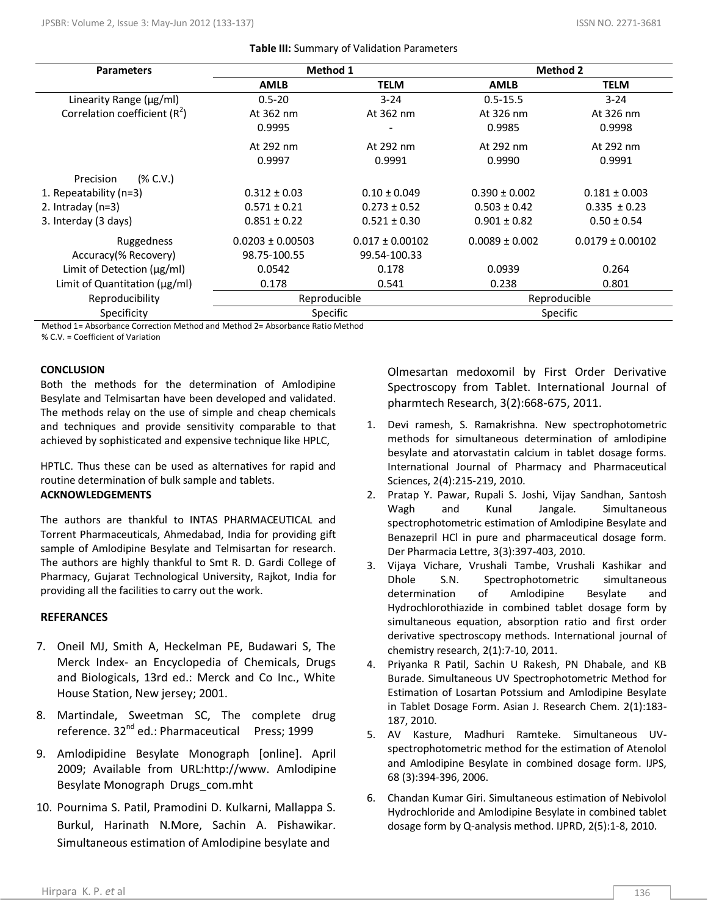| <b>Parameters</b>                   | Method 1             |                     | <b>Method 2</b>    |                      |
|-------------------------------------|----------------------|---------------------|--------------------|----------------------|
|                                     | <b>AMLB</b>          | <b>TELM</b>         | <b>AMLB</b>        | <b>TELM</b>          |
| Linearity Range (µg/ml)             | $0.5 - 20$           | $3 - 24$            | $0.5 - 15.5$       | $3 - 24$             |
| Correlation coefficient $(R^2)$     | At 362 nm            | At 362 nm           | At 326 nm          | At 326 nm            |
|                                     | 0.9995               |                     | 0.9985             | 0.9998               |
|                                     | At 292 nm            | At 292 nm           | At 292 nm          | At 292 nm            |
|                                     | 0.9997               | 0.9991              | 0.9990             | 0.9991               |
| (% C.V.)<br>Precision               |                      |                     |                    |                      |
| 1. Repeatability $(n=3)$            | $0.312 \pm 0.03$     | $0.10 \pm 0.049$    | $0.390 \pm 0.002$  | $0.181 \pm 0.003$    |
| 2. Intraday $(n=3)$                 | $0.571 \pm 0.21$     | $0.273 \pm 0.52$    | $0.503 \pm 0.42$   | $0.335 \pm 0.23$     |
| 3. Interday (3 days)                | $0.851 \pm 0.22$     | $0.521 \pm 0.30$    | $0.901 \pm 0.82$   | $0.50 \pm 0.54$      |
| Ruggedness                          | $0.0203 \pm 0.00503$ | $0.017 \pm 0.00102$ | $0.0089 \pm 0.002$ | $0.0179 \pm 0.00102$ |
| Accuracy(% Recovery)                | 98.75-100.55         | 99.54-100.33        |                    |                      |
| Limit of Detection (µg/ml)          | 0.0542               | 0.178               | 0.0939             | 0.264                |
| Limit of Quantitation ( $\mu$ g/ml) | 0.178                | 0.541               | 0.238              | 0.801                |
| Reproducibility                     | Reproducible         |                     | Reproducible       |                      |
| Specificity                         | <b>Specific</b>      |                     | Specific           |                      |

Method 1= Absorbance Correction Method and Method 2= Absorbance Ratio Method % C.V. = Coefficient of Variation

# **CONCLUSION**

Both the methods for the determination of Amlodipine Besylate and Telmisartan have been developed and validated. The methods relay on the use of simple and cheap chemicals and techniques and provide sensitivity comparable to that achieved by sophisticated and expensive technique like HPLC,

HPTLC. Thus these can be used as alternatives for rapid and routine determination of bulk sample and tablets. **ACKNOWLEDGEMENTS**

The authors are thankful to INTAS PHARMACEUTICAL and Torrent Pharmaceuticals, Ahmedabad, India for providing gift sample of Amlodipine Besylate and Telmisartan for research. The authors are highly thankful to Smt R. D. Gardi College of Pharmacy, Gujarat Technological University, Rajkot, India for providing all the facilities to carry out the work.

# **REFERANCES**

- 7. Oneil MJ, Smith A, Heckelman PE, Budawari S, The Merck Index- an Encyclopedia of Chemicals, Drugs and Biologicals, 13rd ed.: Merck and Co Inc., White House Station, New jersey; 2001.
- 8. Martindale, Sweetman SC, The complete drug reference. 32<sup>nd</sup> ed.: Pharmaceutical Press; 1999
- 9. Amlodipidine Besylate Monograph [online]. April 2009; Available from URL:http://www. Amlodipine Besylate Monograph Drugs\_com.mht
- 10. Pournima S. Patil, Pramodini D. Kulkarni, Mallappa S. Burkul, Harinath N.More, Sachin A. Pishawikar. Simultaneous estimation of Amlodipine besylate and

Olmesartan medoxomil by First Order Derivative Spectroscopy from Tablet. International Journal of pharmtech Research, 3(2):668-675, 2011.

- 1. Devi ramesh, S. Ramakrishna. New spectrophotometric methods for simultaneous determination of amlodipine besylate and atorvastatin calcium in tablet dosage forms. International Journal of Pharmacy and Pharmaceutical Sciences, 2(4):215-219, 2010.
- 2. Pratap Y. Pawar, Rupali S. Joshi, Vijay Sandhan, Santosh Wagh and Kunal Jangale. Simultaneous spectrophotometric estimation of Amlodipine Besylate and Benazepril HCl in pure and pharmaceutical dosage form. Der Pharmacia Lettre, 3(3):397-403, 2010.
- 3. Vijaya Vichare, Vrushali Tambe, Vrushali Kashikar and Dhole S.N. Spectrophotometric simultaneous determination of Amlodipine Besylate and Hydrochlorothiazide in combined tablet dosage form by simultaneous equation, absorption ratio and first order derivative spectroscopy methods. International journal of chemistry research, 2(1):7-10, 2011.
- 4. Priyanka R Patil, Sachin U Rakesh, PN Dhabale, and KB Burade. Simultaneous UV Spectrophotometric Method for Estimation of Losartan Potssium and Amlodipine Besylate in Tablet Dosage Form. Asian J. Research Chem. 2(1):183- 187, 2010.
- 5. [AV Kasture,](http://ijpsonline.com/searchresult.asp?search=&author=AV+Kasture&journal=Y&but_search=Search&entries=10&pg=1&s=0) [Madhuri Ramteke.](http://ijpsonline.com/searchresult.asp?search=&author=Madhuri+Ramteke&journal=Y&but_search=Search&entries=10&pg=1&s=0) Simultaneous UVspectrophotometric method for the estimation of Atenolol and Amlodipine Besylate in combined dosage form. IJPS, 68 (3):394-396, 2006.
- 6. Chandan Kumar Giri. Simultaneous estimation of Nebivolol Hydrochloride and Amlodipine Besylate in combined tablet dosage form by Q-analysis method. IJPRD, 2(5):1-8, 2010.